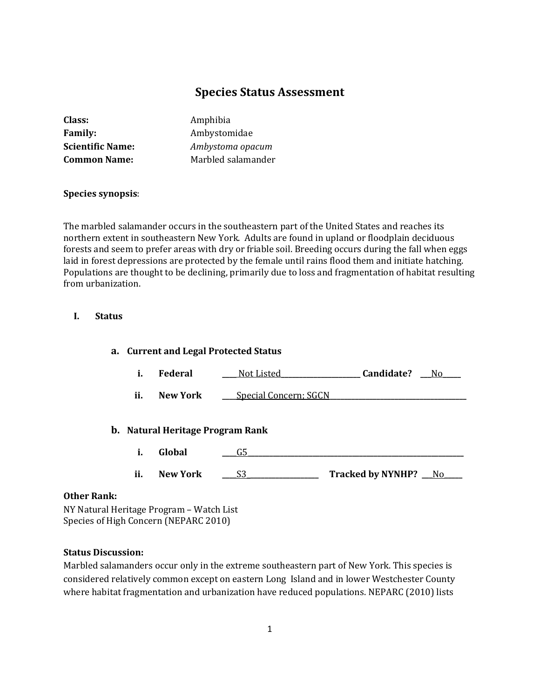# **Species Status Assessment**

| Class:                  |  |
|-------------------------|--|
| <b>Family:</b>          |  |
| <b>Scientific Name:</b> |  |
| <b>Common Name:</b>     |  |

**Class:** Amphibia **Family:** Ambystomidae **Scientific Name:** *Ambystoma opacum* **Common Name:** Marbled salamander

## **Species synopsis**:

The marbled salamander occurs in the southeastern part of the United States and reaches its northern extent in southeastern New York. Adults are found in upland or floodplain deciduous forests and seem to prefer areas with dry or friable soil. Breeding occurs during the fall when eggs laid in forest depressions are protected by the female until rains flood them and initiate hatching. Populations are thought to be declining, primarily due to loss and fragmentation of habitat resulting from urbanization.

#### **I. Status**

# **a. Current and Legal Protected Status i. Federal \_\_\_\_** Not Listed**\_\_\_\_\_\_\_\_\_\_\_\_\_\_\_\_\_\_\_\_\_\_ Candidate? \_\_\_**No**\_\_\_\_\_ ii. New York \_\_\_\_**Special Concern; SGCN **b. Natural Heritage Program Rank i. Global \_\_\_\_**G5**\_\_\_\_\_\_\_\_\_\_\_\_\_\_\_\_\_\_\_\_\_\_\_\_\_\_\_\_\_\_\_\_\_\_\_\_\_\_\_\_\_\_\_\_\_\_\_\_\_\_\_\_\_\_\_\_\_\_\_\_ ii. New York \_\_\_\_**S3\_**\_\_\_\_\_\_\_\_\_\_\_\_\_\_\_\_\_\_\_ Tracked by NYNHP? \_\_\_**No**\_\_\_\_\_**

#### **Other Rank:**

NY Natural Heritage Program – Watch List Species of High Concern (NEPARC 2010)

## **Status Discussion:**

Marbled salamanders occur only in the extreme southeastern part of New York. This species is considered relatively common except on eastern Long Island and in lower Westchester County where habitat fragmentation and urbanization have reduced populations. NEPARC (2010) lists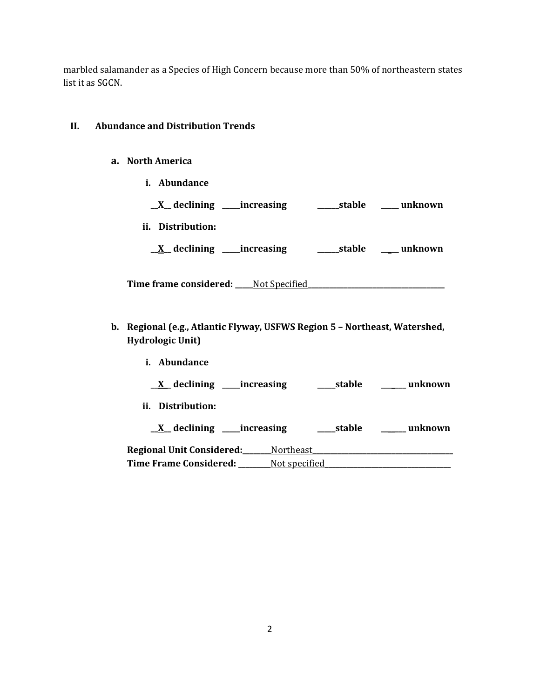marbled salamander as a Species of High Concern because more than 50% of northeastern states list it as SGCN.

## **II. Abundance and Distribution Trends**

- **a. North America**
	- **i. Abundance**

|                              | $\underline{X}$ declining ______ increasing | stable | unknown |
|------------------------------|---------------------------------------------|--------|---------|
| ii. Distribution:            |                                             |        |         |
| $X$ declining $\blacksquare$ | _increasing                                 | stable | unknown |

**Time frame considered: \_\_\_\_\_**Not Specified**\_\_\_\_\_\_\_\_\_\_\_\_\_\_\_\_\_\_\_\_\_\_\_\_\_\_\_\_\_\_\_\_\_\_\_\_\_\_**

**b. Regional (e.g., Atlantic Flyway, USFWS Region 5 – Northeast, Watershed, Hydrologic Unit)**

| Abundance                                   |               |            |         |
|---------------------------------------------|---------------|------------|---------|
| $\underline{X}$ declining ______ increasing |               | ____stable | unknown |
| ii. Distribution:                           |               |            |         |
| $X$ declining ______ increasing             |               | ____stable | unknown |
| <b>Regional Unit Considered:__</b>          | Northeast     |            |         |
| <b>Time Frame Considered:</b>               | Not specified |            |         |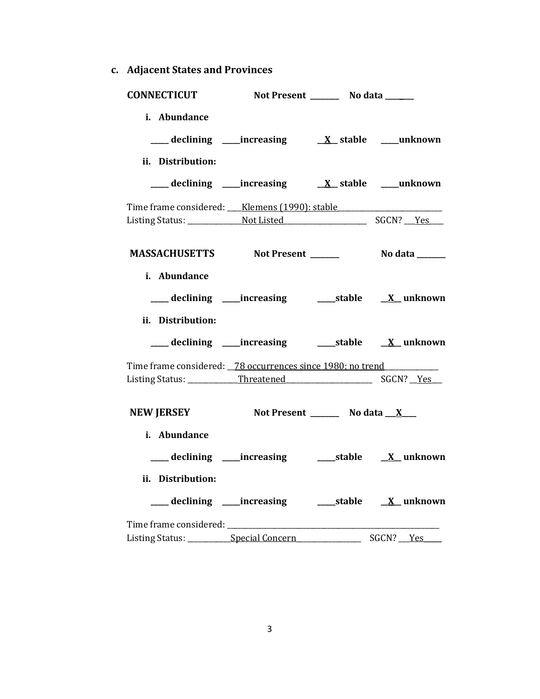**c. Adjacent States and Provinces**

| <b>CONNECTICUT</b>                                         | Not Present _________ No data ______                      |                   |
|------------------------------------------------------------|-----------------------------------------------------------|-------------------|
| i. Abundance                                               |                                                           |                   |
| ii. Distribution:                                          |                                                           |                   |
| Time frame considered: Klemens (1990): stable              |                                                           |                   |
|                                                            |                                                           |                   |
| i. Abundance<br>ii. Distribution:                          | ___ declining ____increasing ______stable ___ X__ unknown |                   |
| Time frame considered: 78 occurrences since 1980; no trend |                                                           |                   |
|                                                            |                                                           |                   |
| NEW JERSEY Not Present _______ No data __ X___             |                                                           |                   |
| i. Abundance                                               |                                                           |                   |
| ii. Distribution:                                          | ___ declining ____increasing ______stable ___ X__ unknown |                   |
|                                                            |                                                           |                   |
| Listing Status: Special Concern                            |                                                           | SGCN? __ Yes_____ |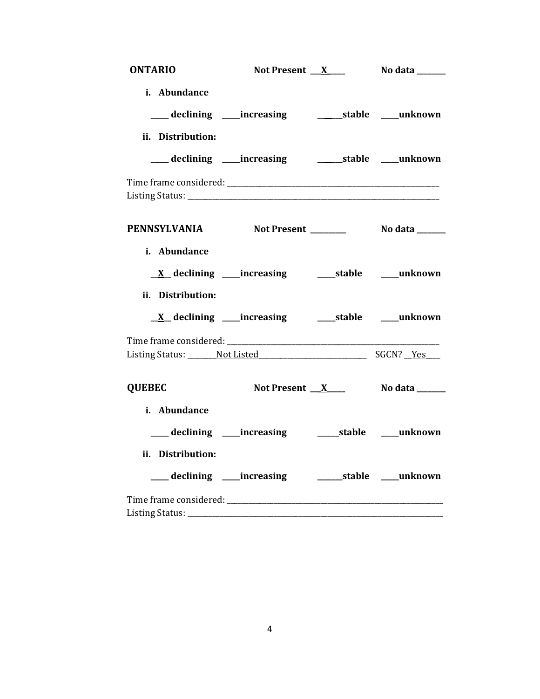| <b>ONTARIO</b>                                  | Not Present $X$                                                 | No data _______               |
|-------------------------------------------------|-----------------------------------------------------------------|-------------------------------|
| i. Abundance                                    |                                                                 |                               |
|                                                 | ___ declining ____increasing _______________stable _____unknown |                               |
| ii. Distribution:                               |                                                                 |                               |
| ___ declining ____ increasing                   |                                                                 | _________stable ______unknown |
|                                                 |                                                                 |                               |
| PENNSYLVANIA Not Present ________ No data _____ |                                                                 |                               |
| i. Abundance                                    |                                                                 |                               |
|                                                 | <u>X</u> declining ____increasing ______stable _____unknown     |                               |
| ii. Distribution:                               |                                                                 |                               |
| $\underline{X}$ declining _____ increasing      |                                                                 | ______stable ______unknown    |
|                                                 |                                                                 |                               |
|                                                 |                                                                 |                               |
| <b>QUEBEC</b>                                   | Not Present <u>X</u> ____                                       | No data ______                |
| i. Abundance                                    |                                                                 |                               |
|                                                 |                                                                 |                               |
| ii. Distribution:                               |                                                                 |                               |
| ____ declining _____ increasing                 |                                                                 | _________stable ______unknown |
|                                                 |                                                                 |                               |
|                                                 |                                                                 |                               |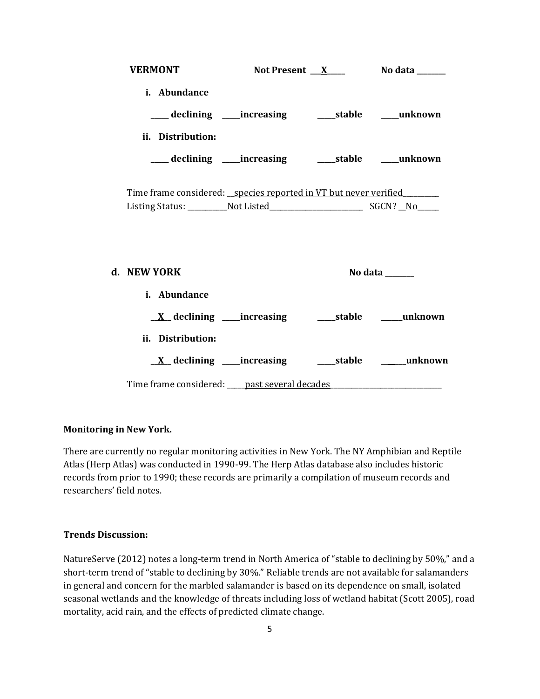| <b>VERMONT</b>                                                                   |                                                         | Not Present $X$ No data ________ |
|----------------------------------------------------------------------------------|---------------------------------------------------------|----------------------------------|
| i. Abundance                                                                     |                                                         |                                  |
|                                                                                  | ___ declining ____increasing ______stable _____unknown  |                                  |
| ii. Distribution:                                                                |                                                         |                                  |
|                                                                                  | ___ declining ____increasing _______stable _____unknown |                                  |
| Time frame considered: _species reported in VT but never verified                |                                                         |                                  |
| d. NEW YORK                                                                      |                                                         | No data ______                   |
| i. Abundance                                                                     |                                                         |                                  |
|                                                                                  |                                                         |                                  |
| ii. Distribution:                                                                |                                                         |                                  |
|                                                                                  |                                                         |                                  |
| Time frame considered: ____ past several decades _______________________________ |                                                         |                                  |

#### **Monitoring in New York.**

There are currently no regular monitoring activities in New York. The NY Amphibian and Reptile Atlas (Herp Atlas) was conducted in 1990-99. The Herp Atlas database also includes historic records from prior to 1990; these records are primarily a compilation of museum records and researchers' field notes.

#### **Trends Discussion:**

NatureServe (2012) notes a long-term trend in North America of "stable to declining by 50%," and a short-term trend of "stable to declining by 30%." Reliable trends are not available for salamanders in general and concern for the marbled salamander is based on its dependence on small, isolated seasonal wetlands and the knowledge of threats including loss of wetland habitat (Scott 2005), road mortality, acid rain, and the effects of predicted climate change.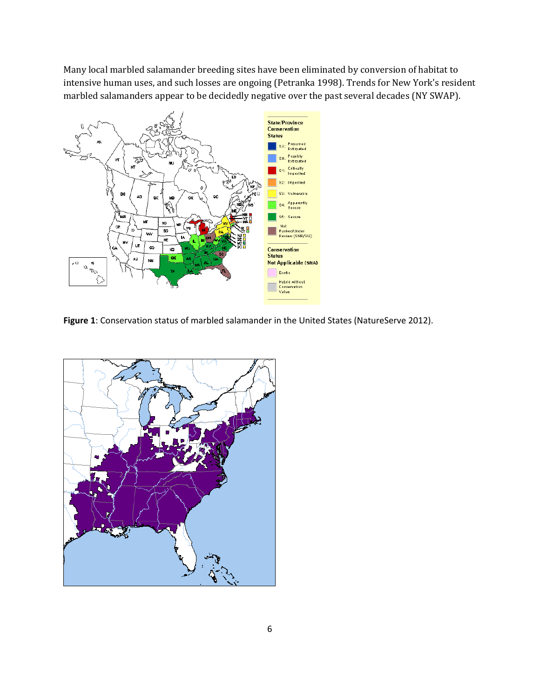Many local marbled salamander breeding sites have been eliminated by conversion of habitat to intensive human uses, and such losses are ongoing (Petranka 1998). Trends for New York's resident marbled salamanders appear to be decidedly negative over the past several decades (NY SWAP).



Figure 1: Conservation status of marbled salamander in the United States (NatureServe 2012).

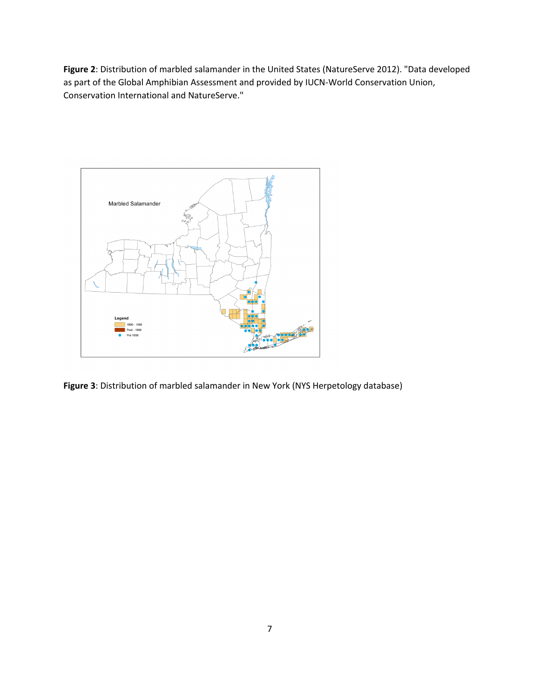**Figure 2**: Distribution of marbled salamander in the United States (NatureServe 2012). "Data developed as part of the Global Amphibian Assessment and provided by IUCN-World Conservation Union, Conservation International and NatureServe."



**Figure 3**: Distribution of marbled salamander in New York (NYS Herpetology database)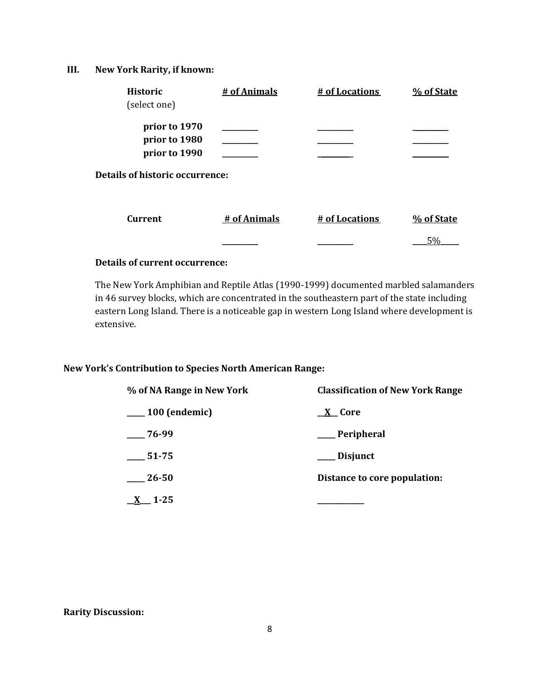## **III. New York Rarity, if known:**

| <b>Historic</b><br>(select one)                 | # of Animals | # of Locations | % of State |
|-------------------------------------------------|--------------|----------------|------------|
| prior to 1970<br>prior to 1980<br>prior to 1990 |              |                |            |
| <b>Details of historic occurrence:</b>          |              |                |            |
| <b>Current</b>                                  | # of Animals | # of Locations | % of State |
|                                                 |              |                | 5%         |

# **Details of current occurrence:**

The New York Amphibian and Reptile Atlas (1990-1999) documented marbled salamanders in 46 survey blocks, which are concentrated in the southeastern part of the state including eastern Long Island. There is a noticeable gap in western Long Island where development is extensive.

#### **New York's Contribution to Species North American Range:**

| % of NA Range in New York | <b>Classification of New York Range</b> |  |
|---------------------------|-----------------------------------------|--|
| $\frac{100}{2}$ (endemic) | <u>X</u> Core                           |  |
| 76-99                     | __ Peripheral                           |  |
| $\frac{1}{2}$ 51-75       | __ Disjunct                             |  |
| 26-50                     | Distance to core population:            |  |
| $-1 - 25$                 |                                         |  |

#### **Rarity Discussion:**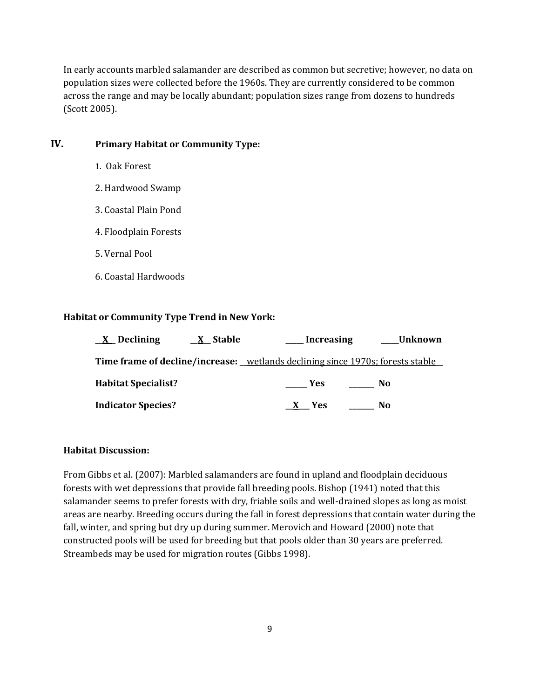In early accounts marbled salamander are described as common but secretive; however, no data on population sizes were collected before the 1960s. They are currently considered to be common across the range and may be locally abundant; population sizes range from dozens to hundreds (Scott 2005).

# **IV. Primary Habitat or Community Type:**

- 1. Oak Forest
- 2. Hardwood Swamp
- 3. Coastal Plain Pond
- 4. Floodplain Forests
- 5. Vernal Pool
- 6. Coastal Hardwoods

#### **Habitat or Community Type Trend in New York:**

| $\underline{X}$ Declining  | <u>X</u> Stable | __ Increasing     | ___Unknown                                                                      |
|----------------------------|-----------------|-------------------|---------------------------------------------------------------------------------|
|                            |                 |                   | Time frame of decline/increase: _wetlands declining since 1970s; forests stable |
| <b>Habitat Specialist?</b> |                 | <b>Example SE</b> | No.                                                                             |
| <b>Indicator Species?</b>  |                 | <b>Yes</b>        | No                                                                              |

#### **Habitat Discussion:**

From Gibbs et al. (2007): Marbled salamanders are found in upland and floodplain deciduous forests with wet depressions that provide fall breeding pools. Bishop (1941) noted that this salamander seems to prefer forests with dry, friable soils and well-drained slopes as long as moist areas are nearby. Breeding occurs during the fall in forest depressions that contain water during the fall, winter, and spring but dry up during summer. Merovich and Howard (2000) note that constructed pools will be used for breeding but that pools older than 30 years are preferred. Streambeds may be used for migration routes (Gibbs 1998).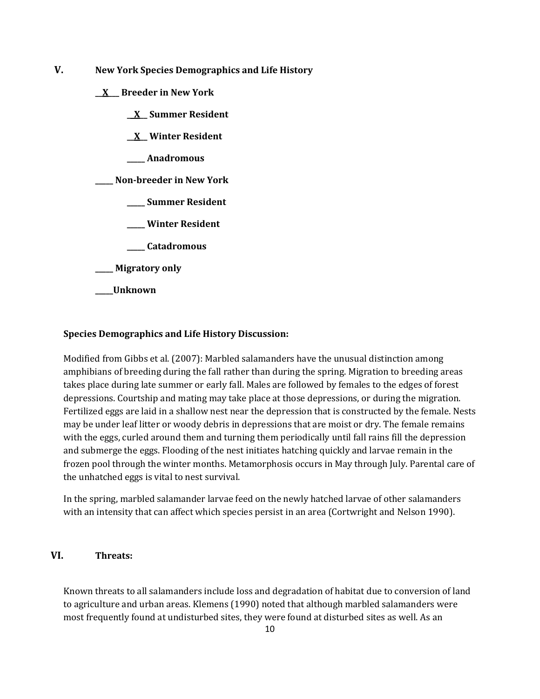- **V. New York Species Demographics and Life History**
	- **\_\_X\_\_\_ Breeder in New York**
		- **\_\_X\_\_ Summer Resident**
		- **\_\_X\_\_ Winter Resident**
		- **\_\_\_\_\_ Anadromous**

**\_\_\_\_\_ Non-breeder in New York**

- **\_\_\_\_\_ Summer Resident**
- **\_\_\_\_\_ Winter Resident**
- **\_\_\_\_\_ Catadromous**
- **\_\_\_\_\_ Migratory only**
- **\_\_\_\_\_Unknown**

#### **Species Demographics and Life History Discussion:**

Modified from Gibbs et al. (2007): Marbled salamanders have the unusual distinction among amphibians of breeding during the fall rather than during the spring. Migration to breeding areas takes place during late summer or early fall. Males are followed by females to the edges of forest depressions. Courtship and mating may take place at those depressions, or during the migration. Fertilized eggs are laid in a shallow nest near the depression that is constructed by the female. Nests may be under leaf litter or woody debris in depressions that are moist or dry. The female remains with the eggs, curled around them and turning them periodically until fall rains fill the depression and submerge the eggs. Flooding of the nest initiates hatching quickly and larvae remain in the frozen pool through the winter months. Metamorphosis occurs in May through July. Parental care of the unhatched eggs is vital to nest survival.

In the spring, marbled salamander larvae feed on the newly hatched larvae of other salamanders with an intensity that can affect which species persist in an area (Cortwright and Nelson 1990).

### **VI. Threats:**

Known threats to all salamanders include loss and degradation of habitat due to conversion of land to agriculture and urban areas. Klemens (1990) noted that although marbled salamanders were most frequently found at undisturbed sites, they were found at disturbed sites as well. As an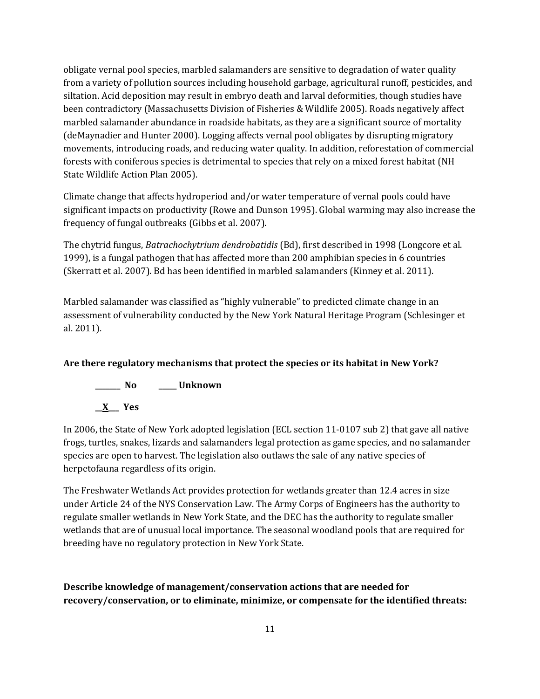obligate vernal pool species, marbled salamanders are sensitive to degradation of water quality from a variety of pollution sources including household garbage, agricultural runoff, pesticides, and siltation. Acid deposition may result in embryo death and larval deformities, though studies have been contradictory (Massachusetts Division of Fisheries & Wildlife 2005). Roads negatively affect marbled salamander abundance in roadside habitats, as they are a significant source of mortality (deMaynadier and Hunter 2000). Logging affects vernal pool obligates by disrupting migratory movements, introducing roads, and reducing water quality. In addition, reforestation of commercial forests with coniferous species is detrimental to species that rely on a mixed forest habitat (NH State Wildlife Action Plan 2005).

Climate change that affects hydroperiod and/or water temperature of vernal pools could have significant impacts on productivity (Rowe and Dunson 1995). Global warming may also increase the frequency of fungal outbreaks (Gibbs et al. 2007).

The chytrid fungus, *Batrachochytrium dendrobatidis* (Bd), first described in 1998 (Longcore et al. 1999), is a fungal pathogen that has affected more than 200 amphibian species in 6 countries (Skerratt et al. 2007). Bd has been identified in marbled salamanders (Kinney et al. 2011).

Marbled salamander was classified as "highly vulnerable" to predicted climate change in an assessment of vulnerability conducted by the New York Natural Heritage Program (Schlesinger et al. 2011).

# **Are there regulatory mechanisms that protect the species or its habitat in New York?**



In 2006, the State of New York adopted legislation (ECL section 11-0107 sub 2) that gave all native frogs, turtles, snakes, lizards and salamanders legal protection as game species, and no salamander species are open to harvest. The legislation also outlaws the sale of any native species of herpetofauna regardless of its origin.

The Freshwater Wetlands Act provides protection for wetlands greater than 12.4 acres in size under Article 24 of the NYS Conservation Law. The Army Corps of Engineers has the authority to regulate smaller wetlands in New York State, and the DEC has the authority to regulate smaller wetlands that are of unusual local importance. The seasonal woodland pools that are required for breeding have no regulatory protection in New York State.

**Describe knowledge of management/conservation actions that are needed for recovery/conservation, or to eliminate, minimize, or compensate for the identified threats:**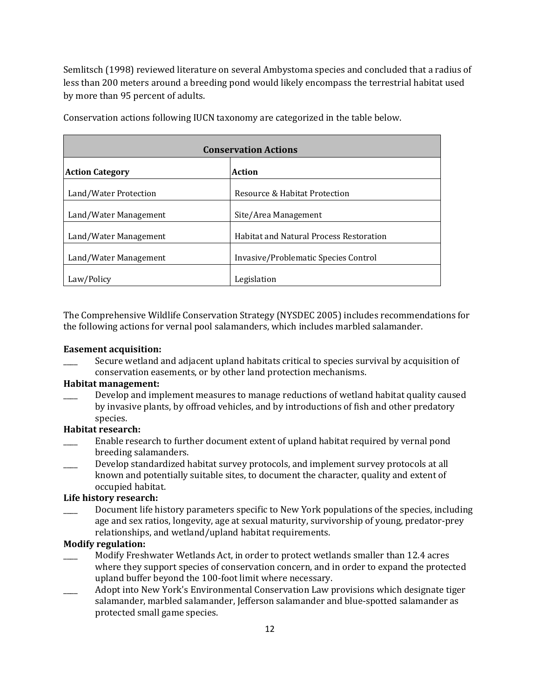Semlitsch (1998) reviewed literature on several Ambystoma species and concluded that a radius of less than 200 meters around a breeding pond would likely encompass the terrestrial habitat used by more than 95 percent of adults.

| <b>Conservation Actions</b> |                                         |  |
|-----------------------------|-----------------------------------------|--|
| <b>Action Category</b>      | <b>Action</b>                           |  |
| Land/Water Protection       | Resource & Habitat Protection           |  |
| Land/Water Management       | Site/Area Management                    |  |
| Land/Water Management       | Habitat and Natural Process Restoration |  |
| Land/Water Management       | Invasive/Problematic Species Control    |  |
| Law/Policy                  | Legislation                             |  |

Conservation actions following IUCN taxonomy are categorized in the table below.

The Comprehensive Wildlife Conservation Strategy (NYSDEC 2005) includes recommendations for the following actions for vernal pool salamanders, which includes marbled salamander.

#### **Easement acquisition:**

Secure wetland and adjacent upland habitats critical to species survival by acquisition of conservation easements, or by other land protection mechanisms.

## **Habitat management:**

Develop and implement measures to manage reductions of wetland habitat quality caused by invasive plants, by offroad vehicles, and by introductions of fish and other predatory species.

#### **Habitat research:**

- Enable research to further document extent of upland habitat required by vernal pond breeding salamanders.
- Develop standardized habitat survey protocols, and implement survey protocols at all known and potentially suitable sites, to document the character, quality and extent of occupied habitat.

#### **Life history research:**

Document life history parameters specific to New York populations of the species, including age and sex ratios, longevity, age at sexual maturity, survivorship of young, predator-prey relationships, and wetland/upland habitat requirements.

#### **Modify regulation:**

- \_\_\_\_ Modify Freshwater Wetlands Act, in order to protect wetlands smaller than 12.4 acres where they support species of conservation concern, and in order to expand the protected upland buffer beyond the 100-foot limit where necessary.
- \_\_\_\_ Adopt into New York's Environmental Conservation Law provisions which designate tiger salamander, marbled salamander, Jefferson salamander and blue-spotted salamander as protected small game species.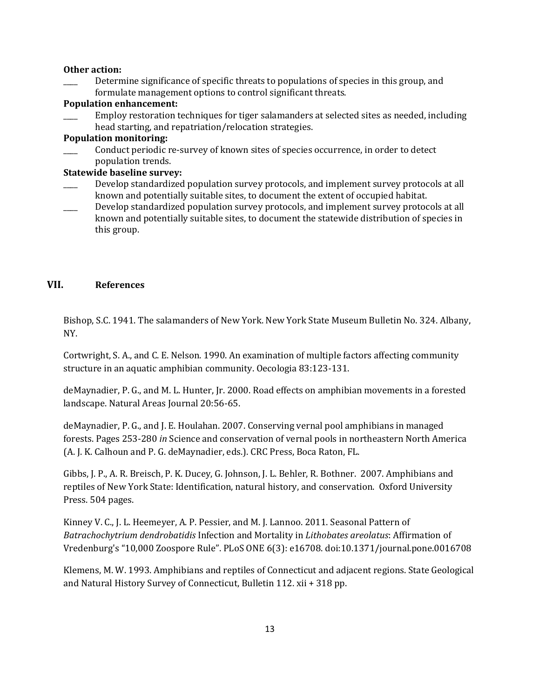#### **Other action:**

Determine significance of specific threats to populations of species in this group, and formulate management options to control significant threats.

#### **Population enhancement:**

\_\_\_\_ Employ restoration techniques for tiger salamanders at selected sites as needed, including head starting, and repatriation/relocation strategies.

#### **Population monitoring:**

\_\_\_\_ Conduct periodic re-survey of known sites of species occurrence, in order to detect population trends.

#### **Statewide baseline survey:**

- Develop standardized population survey protocols, and implement survey protocols at all known and potentially suitable sites, to document the extent of occupied habitat.
- Develop standardized population survey protocols, and implement survey protocols at all known and potentially suitable sites, to document the statewide distribution of species in this group.

#### **VII. References**

Bishop, S.C. 1941. The salamanders of New York. New York State Museum Bulletin No. 324. Albany, NY.

Cortwright, S. A., and C. E. Nelson. 1990. An examination of multiple factors affecting community structure in an aquatic amphibian community. Oecologia 83:123-131.

deMaynadier, P. G., and M. L. Hunter, Jr. 2000. Road effects on amphibian movements in a forested landscape. Natural Areas Journal 20:56-65.

deMaynadier, P. G., and J. E. Houlahan. 2007. Conserving vernal pool amphibians in managed forests. Pages 253-280 *in* Science and conservation of vernal pools in northeastern North America (A. J. K. Calhoun and P. G. deMaynadier, eds.). CRC Press, Boca Raton, FL.

Gibbs, J. P., A. R. Breisch, P. K. Ducey, G. Johnson, J. L. Behler, R. Bothner. 2007. Amphibians and reptiles of New York State: Identification, natural history, and conservation. Oxford University Press. 504 pages.

Kinney V. C., J. L. Heemeyer, A. P. Pessier, and M. J. Lannoo. 2011. Seasonal Pattern of *Batrachochytrium dendrobatidis* Infection and Mortality in *Lithobates areolatus*: Affirmation of Vredenburg's "10,000 Zoospore Rule". PLoS ONE 6(3): e16708. doi:10.1371/journal.pone.0016708

Klemens, M. W. 1993. Amphibians and reptiles of Connecticut and adjacent regions. State Geological and Natural History Survey of Connecticut, Bulletin 112. xii + 318 pp.